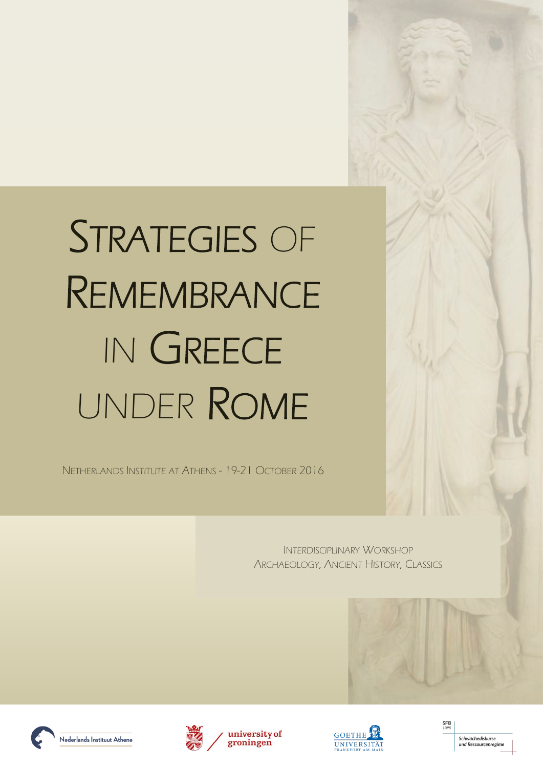INTERDISCIPLINARY WORKSHOP ARCHAEOLOGY, ANCIENT HISTORY, CLASSICS











NETHERLANDS INSTITUTE AT ATHENS - 19-21 OCTOBER 2016

# STRATEGIES OF REMEMBRANCE IN GREECE UNDER ROME